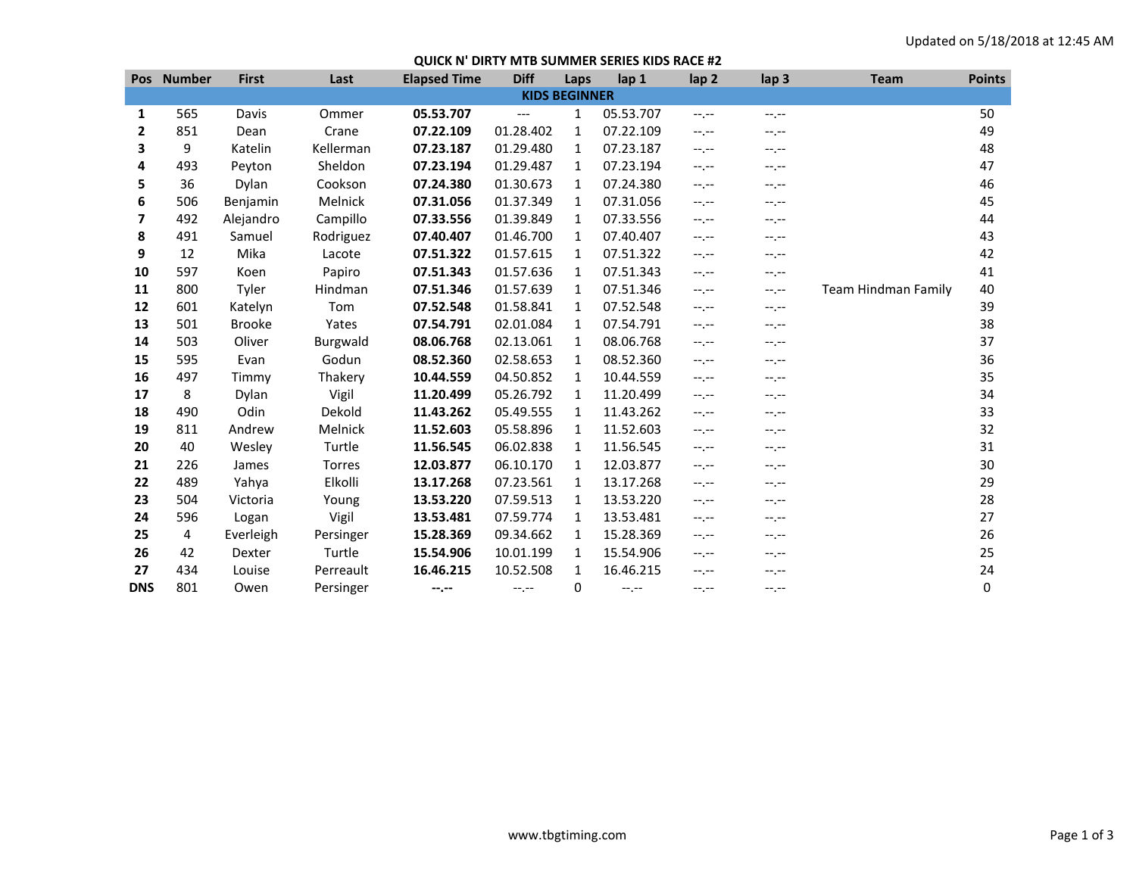## **QUICK N' DIRTY MTB SUMMER SERIES KIDS RACE #2**

|                      | Pos Number | <b>First</b>  | Last      | <b>Elapsed Time</b> | <b>Diff</b> | Laps         | lap 1     | lap <sub>2</sub> | lap <sub>3</sub> | <b>Team</b>         | <b>Points</b> |
|----------------------|------------|---------------|-----------|---------------------|-------------|--------------|-----------|------------------|------------------|---------------------|---------------|
| <b>KIDS BEGINNER</b> |            |               |           |                     |             |              |           |                  |                  |                     |               |
| 1                    | 565        | Davis         | Ommer     | 05.53.707           | ---         | $\mathbf{1}$ | 05.53.707 | $-1, -1$         | --.--            |                     | 50            |
| 2                    | 851        | Dean          | Crane     | 07.22.109           | 01.28.402   | 1            | 07.22.109 | $-1, -1$         | --.--            |                     | 49            |
| 3                    | 9          | Katelin       | Kellerman | 07.23.187           | 01.29.480   | 1            | 07.23.187 | $-1, -1$         | $-1, -1$         |                     | 48            |
| 4                    | 493        | Peyton        | Sheldon   | 07.23.194           | 01.29.487   | 1            | 07.23.194 | $-1, -1$         | $-1, -1$         |                     | 47            |
| 5                    | 36         | Dylan         | Cookson   | 07.24.380           | 01.30.673   | 1            | 07.24.380 | $-1, -1$         | $-1, -1$         |                     | 46            |
| 6                    | 506        | Benjamin      | Melnick   | 07.31.056           | 01.37.349   | 1            | 07.31.056 | $-1, -1$         | $-1, -1$         |                     | 45            |
| 7                    | 492        | Alejandro     | Campillo  | 07.33.556           | 01.39.849   | 1            | 07.33.556 | $-1, -1$         | $-1, -1$         |                     | 44            |
| 8                    | 491        | Samuel        | Rodriguez | 07.40.407           | 01.46.700   | 1            | 07.40.407 | $-1, -1$         | $-1, -1$         |                     | 43            |
| 9                    | 12         | Mika          | Lacote    | 07.51.322           | 01.57.615   | 1            | 07.51.322 | $-1, -1$         | $-1, -1$         |                     | 42            |
| 10                   | 597        | Koen          | Papiro    | 07.51.343           | 01.57.636   | 1            | 07.51.343 | $-1, -1$         | $-1, -1$         |                     | 41            |
| 11                   | 800        | Tyler         | Hindman   | 07.51.346           | 01.57.639   | 1            | 07.51.346 | $-1, -1$         | $-1, -1$         | Team Hindman Family | 40            |
| 12                   | 601        | Katelyn       | Tom       | 07.52.548           | 01.58.841   | 1            | 07.52.548 | $-1, -1$         | $-1, -1$         |                     | 39            |
| 13                   | 501        | <b>Brooke</b> | Yates     | 07.54.791           | 02.01.084   | 1            | 07.54.791 | $-1. -1$         | $-1, -1$         |                     | 38            |
| 14                   | 503        | Oliver        | Burgwald  | 08.06.768           | 02.13.061   | 1            | 08.06.768 | $-1. -1$         | $-1, -1$         |                     | 37            |
| 15                   | 595        | Evan          | Godun     | 08.52.360           | 02.58.653   | 1            | 08.52.360 | $-1, -1$         | $-1, -1$         |                     | 36            |
| 16                   | 497        | Timmy         | Thakery   | 10.44.559           | 04.50.852   | 1            | 10.44.559 | $-1, -1$         | $-1, -1$         |                     | 35            |
| 17                   | 8          | Dylan         | Vigil     | 11.20.499           | 05.26.792   | 1            | 11.20.499 | $-1, -1$         | $-1, -1$         |                     | 34            |
| 18                   | 490        | Odin          | Dekold    | 11.43.262           | 05.49.555   | 1            | 11.43.262 | $-1, -1$         | $-1, -1$         |                     | 33            |
| 19                   | 811        | Andrew        | Melnick   | 11.52.603           | 05.58.896   | 1            | 11.52.603 | $-1, -1$         | $-1, -1$         |                     | 32            |
| 20                   | 40         | Wesley        | Turtle    | 11.56.545           | 06.02.838   | 1            | 11.56.545 | $-1, -1$         | $-1, -1$         |                     | 31            |
| 21                   | 226        | James         | Torres    | 12.03.877           | 06.10.170   | 1            | 12.03.877 | $-1. -1$         | $-1, -1$         |                     | 30            |
| 22                   | 489        | Yahya         | Elkolli   | 13.17.268           | 07.23.561   | 1            | 13.17.268 | $-1. -1$         | $-1, -1$         |                     | 29            |
| 23                   | 504        | Victoria      | Young     | 13.53.220           | 07.59.513   | 1            | 13.53.220 | $-1, -1$         | $-1, -1$         |                     | 28            |
| 24                   | 596        | Logan         | Vigil     | 13.53.481           | 07.59.774   | $\mathbf{1}$ | 13.53.481 | $-1, -1$         | $-1, -1$         |                     | 27            |
| 25                   | 4          | Everleigh     | Persinger | 15.28.369           | 09.34.662   | 1            | 15.28.369 | $-1, -1$         | $-1, -1$         |                     | 26            |
| 26                   | 42         | Dexter        | Turtle    | 15.54.906           | 10.01.199   | 1            | 15.54.906 | $-1, -1$         | --.--            |                     | 25            |
| 27                   | 434        | Louise        | Perreault | 16.46.215           | 10.52.508   | 1            | 16.46.215 | $-1, -1$         | --.--            |                     | 24            |
| <b>DNS</b>           | 801        | Owen          | Persinger | --.--               | $-1. -1$    | 0            | $-1, -1$  | $-1, -1$         | --.--            |                     | 0             |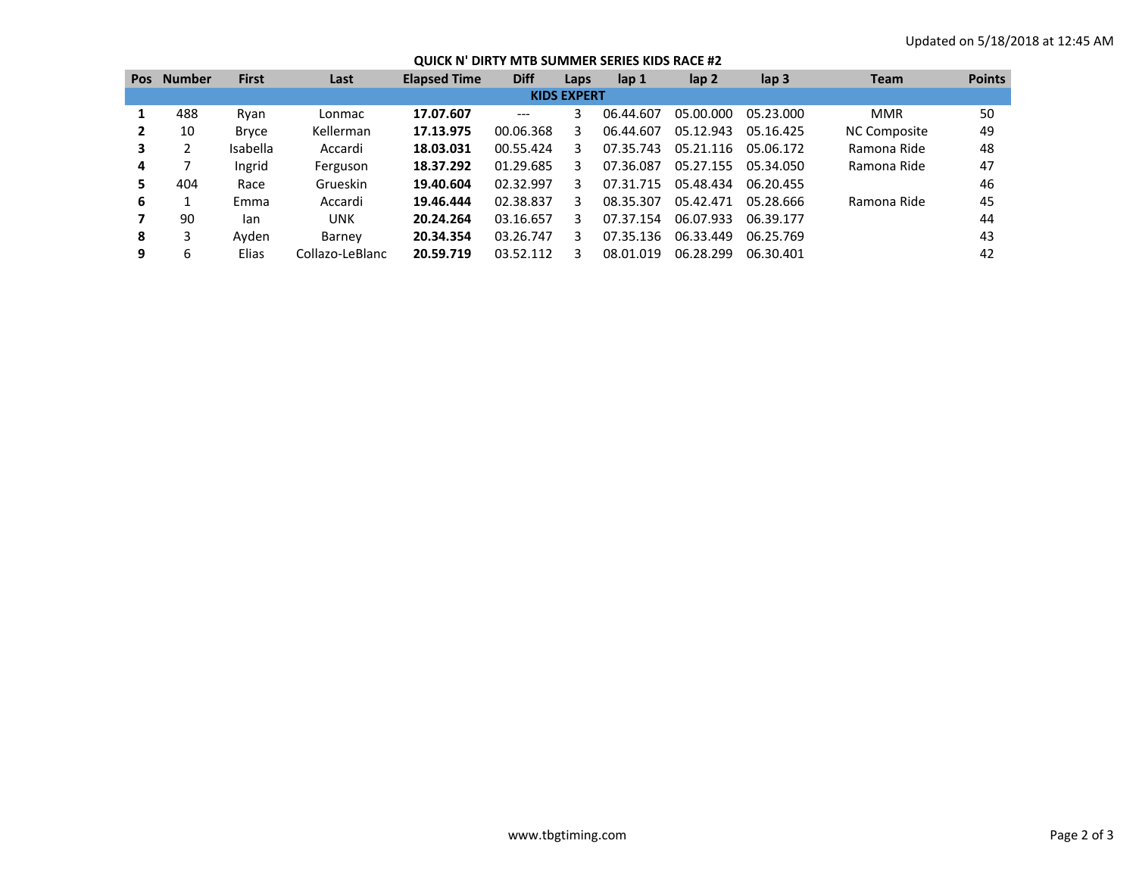## **QUICK N' DIRTY MTB SUMMER SERIES KIDS RACE #2**

| <b>Pos</b>         | <b>Number</b> | <b>First</b> | Last            | <b>Elapsed Time</b> | <b>Diff</b> | Laps | lap <sub>1</sub> | lap <sub>2</sub> | lap <sub>3</sub> | <b>Team</b>  | <b>Points</b> |
|--------------------|---------------|--------------|-----------------|---------------------|-------------|------|------------------|------------------|------------------|--------------|---------------|
| <b>KIDS EXPERT</b> |               |              |                 |                     |             |      |                  |                  |                  |              |               |
|                    | 488           | Ryan         | Lonmac          | 17.07.607           | $---$       | 3    | 06.44.607        | 05.00.000        | 05.23.000        | <b>MMR</b>   | 50            |
|                    | 10            | <b>Bryce</b> | Kellerman       | 17.13.975           | 00.06.368   | 3    | 06.44.607        | 05.12.943        | 05.16.425        | NC Composite | 49            |
| 3                  |               | Isabella     | Accardi         | 18.03.031           | 00.55.424   | 3    | 07.35.743        | 05.21.116        | 05.06.172        | Ramona Ride  | 48            |
| 4                  |               | Ingrid       | Ferguson        | 18.37.292           | 01.29.685   | 3    | 07.36.087        | 05.27.155        | 05.34.050        | Ramona Ride  | 47            |
| 5                  | 404           | Race         | Grueskin        | 19.40.604           | 02.32.997   | 3    | 07.31.715        | 05.48.434        | 06.20.455        |              | 46            |
| 6                  |               | Emma         | Accardi         | 19.46.444           | 02.38.837   | 3    | 08.35.307        | 05.42.471        | 05.28.666        | Ramona Ride  | 45            |
|                    | 90            | lan          | UNK             | 20.24.264           | 03.16.657   | 3    | 07.37.154        | 06.07.933        | 06.39.177        |              | 44            |
| 8                  | 3             | Avden        | Barney          | 20.34.354           | 03.26.747   | 3    | 07.35.136        | 06.33.449        | 06.25.769        |              | 43            |
| 9                  | 6             | Elias        | Collazo-LeBlanc | 20.59.719           | 03.52.112   | 3    | 08.01.019        | 06.28.299        | 06.30.401        |              | 42            |